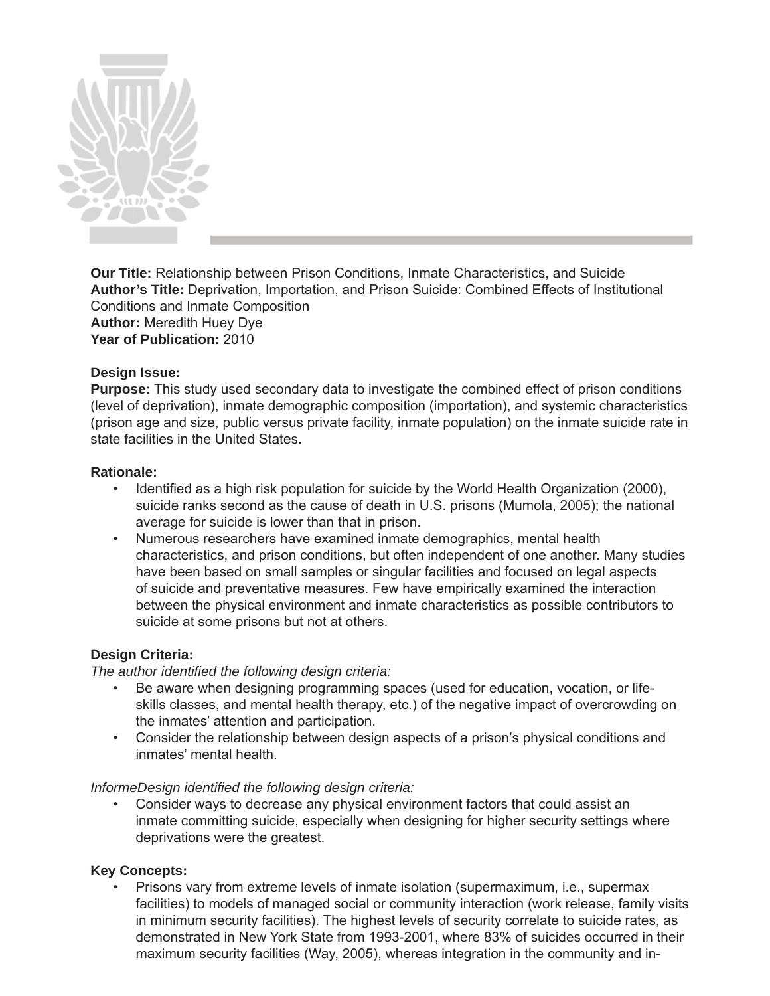

**Our Title:** Relationship between Prison Conditions, Inmate Characteristics, and Suicide **Author's Title:** Deprivation, Importation, and Prison Suicide: Combined Effects of Institutional Conditions and Inmate Composition **Author:** Meredith Huey Dye **Year of Publication:** 2010

## **Design Issue:**

**Purpose:** This study used secondary data to investigate the combined effect of prison conditions (level of deprivation), inmate demographic composition (importation), and systemic characteristics (prison age and size, public versus private facility, inmate population) on the inmate suicide rate in state facilities in the United States.

### **Rationale:**

- Identified as a high risk population for suicide by the World Health Organization (2000), suicide ranks second as the cause of death in U.S. prisons (Mumola, 2005); the national average for suicide is lower than that in prison.
- Numerous researchers have examined inmate demographics, mental health characteristics, and prison conditions, but often independent of one another. Many studies have been based on small samples or singular facilities and focused on legal aspects of suicide and preventative measures. Few have empirically examined the interaction between the physical environment and inmate characteristics as possible contributors to suicide at some prisons but not at others.

### **Design Criteria:**

*The author identified the following design criteria:* 

- Be aware when designing programming spaces (used for education, vocation, or life skills classes, and mental health therapy, etc.) of the negative impact of overcrowding on the inmates' attention and participation.
- Consider the relationship between design aspects of a prison's physical conditions and inmates' mental health.

*InformeDesign identified the following design criteria:* 

• Consider ways to decrease any physical environment factors that could assist an inmate committing suicide, especially when designing for higher security settings where deprivations were the greatest.

### **Key Concepts:**

• Prisons vary from extreme levels of inmate isolation (supermaximum, i.e., supermax facilities) to models of managed social or community interaction (work release, family visits in minimum security facilities). The highest levels of security correlate to suicide rates, as demonstrated in New York State from 1993-2001, where 83% of suicides occurred in their maximum security facilities (Way, 2005), whereas integration in the community and in-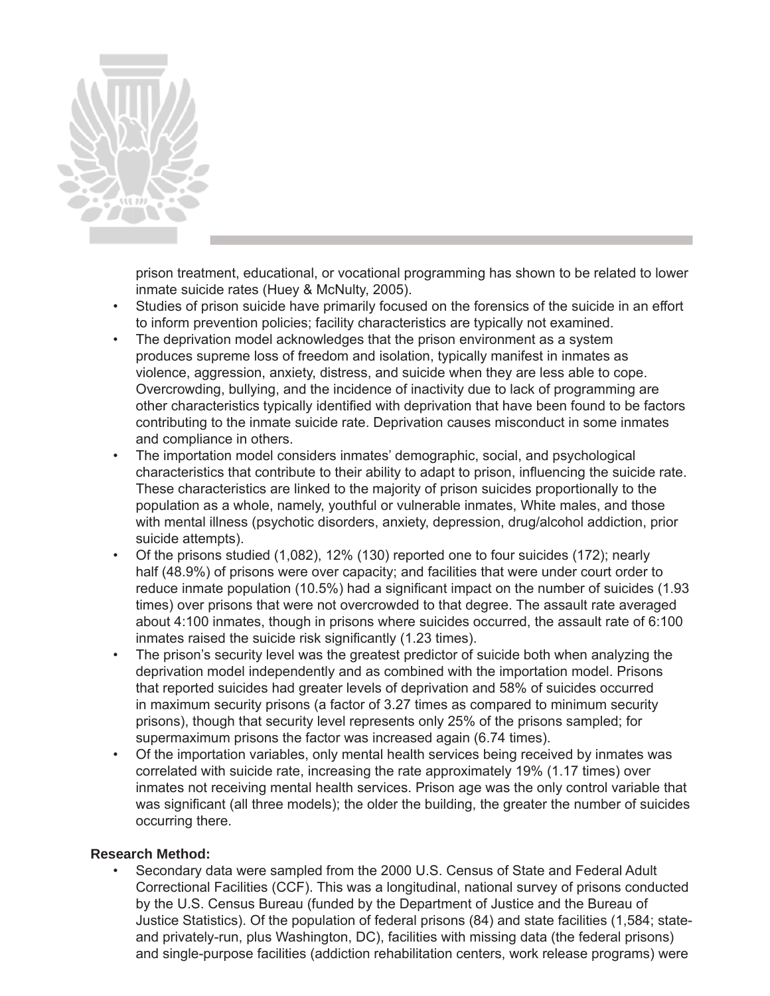

prison treatment, educational, or vocational programming has shown to be related to lower inmate suicide rates (Huey & McNulty, 2005).

- Studies of prison suicide have primarily focused on the forensics of the suicide in an effort to inform prevention policies; facility characteristics are typically not examined.
- The deprivation model acknowledges that the prison environment as a system produces supreme loss of freedom and isolation, typically manifest in inmates as violence, aggression, anxiety, distress, and suicide when they are less able to cope. Overcrowding, bullying, and the incidence of inactivity due to lack of programming are other characteristics typically identified with deprivation that have been found to be factors contributing to the inmate suicide rate. Deprivation causes misconduct in some inmates and compliance in others.
- The importation model considers inmates' demographic, social, and psychological characteristics that contribute to their ability to adapt to prison, influencing the suicide rate. These characteristics are linked to the majority of prison suicides proportionally to the population as a whole, namely, youthful or vulnerable inmates, White males, and those with mental illness (psychotic disorders, anxiety, depression, drug/alcohol addiction, prior suicide attempts).
- Of the prisons studied (1,082), 12% (130) reported one to four suicides (172); nearly half (48.9%) of prisons were over capacity; and facilities that were under court order to reduce inmate population (10.5%) had a significant impact on the number of suicides (1.93 times) over prisons that were not overcrowded to that degree. The assault rate averaged about 4:100 inmates, though in prisons where suicides occurred, the assault rate of 6:100 inmates raised the suicide risk significantly (1.23 times).
- The prison's security level was the greatest predictor of suicide both when analyzing the deprivation model independently and as combined with the importation model. Prisons that reported suicides had greater levels of deprivation and 58% of suicides occurred in maximum security prisons (a factor of 3.27 times as compared to minimum security prisons), though that security level represents only 25% of the prisons sampled; for supermaximum prisons the factor was increased again (6.74 times).
- Of the importation variables, only mental health services being received by inmates was correlated with suicide rate, increasing the rate approximately 19% (1.17 times) over inmates not receiving mental health services. Prison age was the only control variable that was significant (all three models); the older the building, the greater the number of suicides occurring there.

## **Research Method:**

• Secondary data were sampled from the 2000 U.S. Census of State and Federal Adult Correctional Facilities (CCF). This was a longitudinal, national survey of prisons conducted by the U.S. Census Bureau (funded by the Department of Justice and the Bureau of Justice Statistics). Of the population of federal prisons (84) and state facilities (1,584; stateand privately-run, plus Washington, DC), facilities with missing data (the federal prisons) and single-purpose facilities (addiction rehabilitation centers, work release programs) were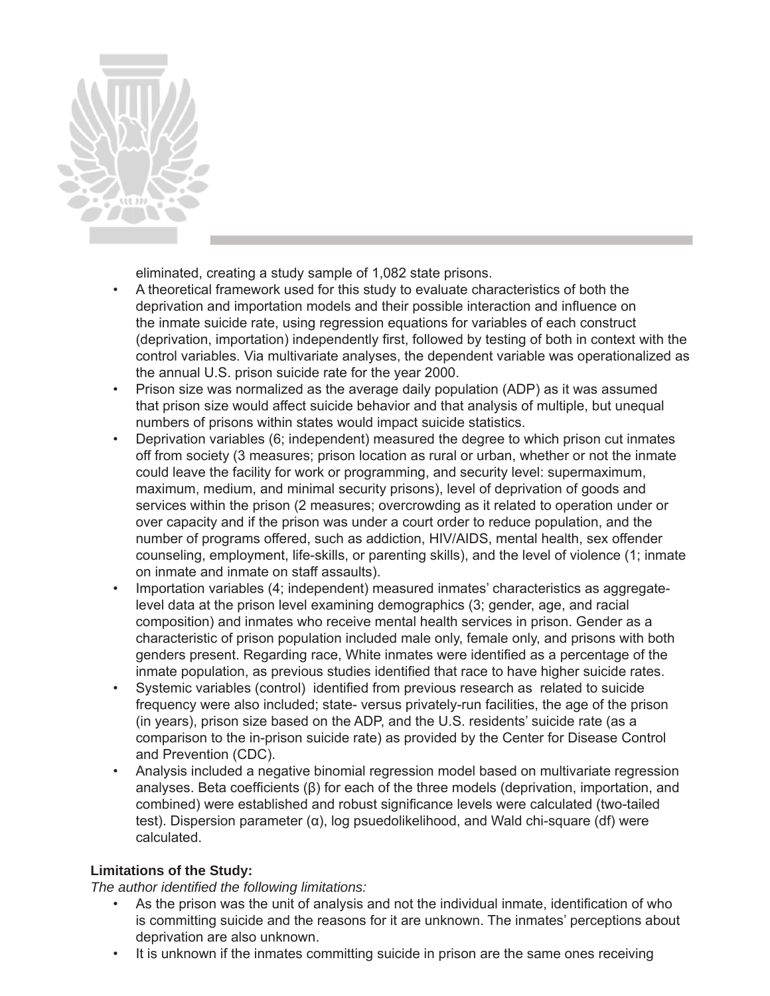

eliminated, creating a study sample of 1,082 state prisons.

- A theoretical framework used for this study to evaluate characteristics of both the deprivation and importation models and their possible interaction and influence on the inmate suicide rate, using regression equations for variables of each construct (deprivation, importation) independently first, followed by testing of both in context with the control variables. Via multivariate analyses, the dependent variable was operationalized as the annual U.S. prison suicide rate for the year 2000.
- Prison size was normalized as the average daily population (ADP) as it was assumed that prison size would affect suicide behavior and that analysis of multiple, but unequal numbers of prisons within states would impact suicide statistics.
- Deprivation variables (6; independent) measured the degree to which prison cut inmates off from society (3 measures; prison location as rural or urban, whether or not the inmate could leave the facility for work or programming, and security level: supermaximum, maximum, medium, and minimal security prisons), level of deprivation of goods and services within the prison (2 measures; overcrowding as it related to operation under or over capacity and if the prison was under a court order to reduce population, and the number of programs offered, such as addiction, HIV/AIDS, mental health, sex offender counseling, employment, life-skills, or parenting skills), and the level of violence (1; inmate on inmate and inmate on staff assaults).
- Importation variables (4; independent) measured inmates' characteristics as aggregatelevel data at the prison level examining demographics (3; gender, age, and racial composition) and inmates who receive mental health services in prison. Gender as a characteristic of prison population included male only, female only, and prisons with both genders present. Regarding race, White inmates were identified as a percentage of the inmate population, as previous studies identified that race to have higher suicide rates.
- Systemic variables (control) identified from previous research as related to suicide frequency were also included; state- versus privately-run facilities, the age of the prison (in years), prison size based on the ADP, and the U.S. residents' suicide rate (as a comparison to the in-prison suicide rate) as provided by the Center for Disease Control and Prevention (CDC).
- Analysis included a negative binomial regression model based on multivariate regression analyses. Beta coefficients  $(\beta)$  for each of the three models (deprivation, importation, and combined) were established and robust significance levels were calculated (two-tailed test). Dispersion parameter (α), log psuedolikelihood, and Wald chi-square (df) were calculated.

# **Limitations of the Study:**

*The author identified the following limitations:* 

- As the prison was the unit of analysis and not the individual inmate, identification of who is committing suicide and the reasons for it are unknown. The inmates' perceptions about deprivation are also unknown.
- It is unknown if the inmates committing suicide in prison are the same ones receiving